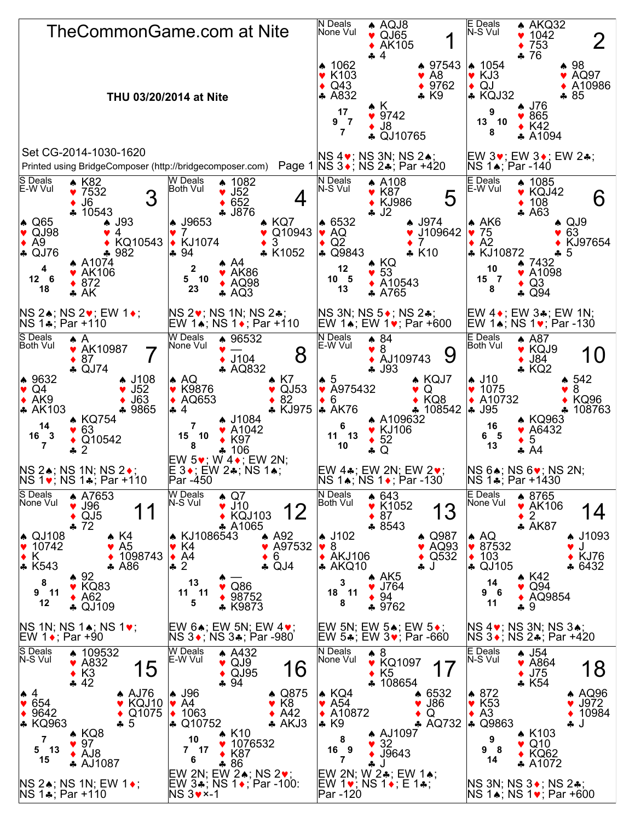